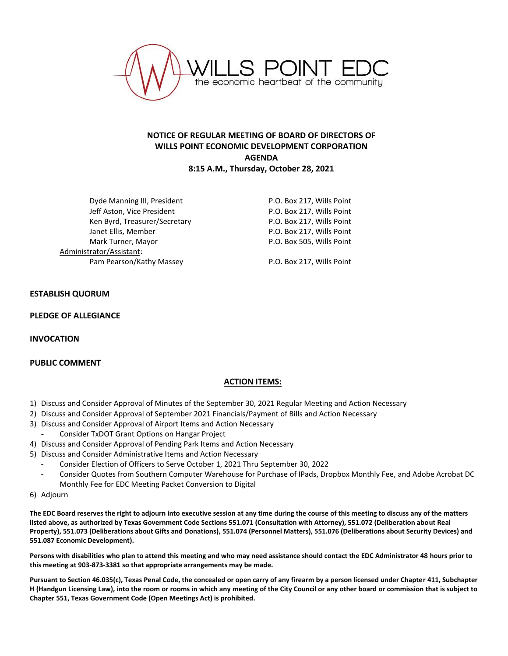

# **NOTICE OF REGULAR MEETING OF BOARD OF DIRECTORS OF WILLS POINT ECONOMIC DEVELOPMENT CORPORATION AGENDA 8:15 A.M., Thursday, October 28, 2021**

Dyde Manning III, President **P.O. Box 217, Wills Point** Jeff Aston, Vice President **P.O. Box 217, Wills Point** Ken Byrd, Treasurer/Secretary The Manuscreen P.O. Box 217, Wills Point Janet Ellis, Member **P.O. Box 217, Wills Point** Mark Turner, Mayor **P.O. Box 505, Wills Point** Administrator/Assistant: Pam Pearson/Kathy Massey **P.O. Box 217, Wills Point** 

## **ESTABLISH QUORUM**

#### **PLEDGE OF ALLEGIANCE**

**INVOCATION**

## **PUBLIC COMMENT**

## **ACTION ITEMS:**

- 1) Discuss and Consider Approval of Minutes of the September 30, 2021 Regular Meeting and Action Necessary
- 2) Discuss and Consider Approval of September 2021 Financials/Payment of Bills and Action Necessary
- 3) Discuss and Consider Approval of Airport Items and Action Necessary
- Consider TxDOT Grant Options on Hangar Project
- 4) Discuss and Consider Approval of Pending Park Items and Action Necessary
- 5) Discuss and Consider Administrative Items and Action Necessary
	- **-** Consider Election of Officers to Serve October 1, 2021 Thru September 30, 2022
	- **-** Consider Quotes from Southern Computer Warehouse for Purchase of IPads, Dropbox Monthly Fee, and Adobe Acrobat DC Monthly Fee for EDC Meeting Packet Conversion to Digital
- 6) Adjourn

**The EDC Board reserves the right to adjourn into executive session at any time during the course of this meeting to discuss any of the matters listed above, as authorized by Texas Government Code Sections 551.071 (Consultation with Attorney), 551.072 (Deliberation about Real Property), 551.073 (Deliberations about Gifts and Donations), 551.074 (Personnel Matters), 551.076 (Deliberations about Security Devices) and 551.087 Economic Development).**

**Persons with disabilities who plan to attend this meeting and who may need assistance should contact the EDC Administrator 48 hours prior to this meeting at 903-873-3381 so that appropriate arrangements may be made.**

**Pursuant to Section 46.035(c), Texas Penal Code, the concealed or open carry of any firearm by a person licensed under Chapter 411, Subchapter H (Handgun Licensing Law), into the room or rooms in which any meeting of the City Council or any other board or commission that is subject to Chapter 551, Texas Government Code (Open Meetings Act) is prohibited.**